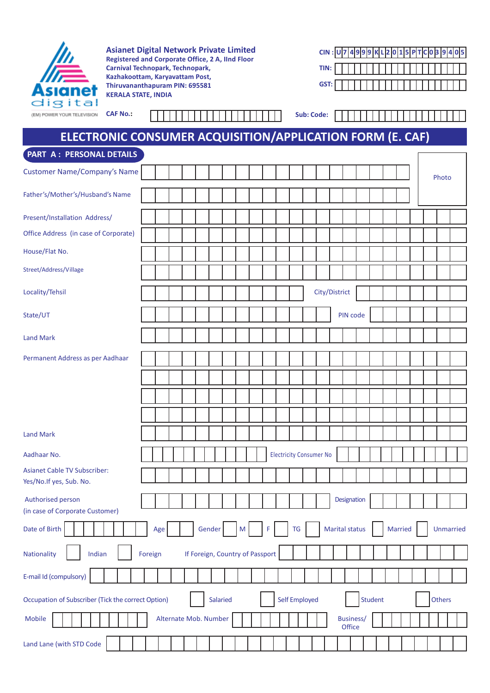

**Asianet Digital Network Private Limited Registered and Corporate Office, 2 A, IInd Floor Carnival Technopark, Technopark, Kazhakoottam, Karyavattam Post, Thiruvananthapuram PIN: 695581 KERALA STATE, INDIA**

П

 $\overline{\phantom{a}}$ 

| CIN: U7 4999 KL2015 PTC03 9405 |  |  |  |  |  |  |  |  |  |  |  |
|--------------------------------|--|--|--|--|--|--|--|--|--|--|--|
|                                |  |  |  |  |  |  |  |  |  |  |  |
|                                |  |  |  |  |  |  |  |  |  |  |  |
|                                |  |  |  |  |  |  |  |  |  |  |  |

**Sub: Code:**  $\Box$  $\Box$ 

Г

# **ELECTRONIC CONSUMER ACQUISITION/APPLICATION FORM (E. CAF)**

# **PART A : PERSONAL DETAILS**

| <b>Customer Name/Company's Name</b>                     |         |                       |  |          |                |                                 |                                |  |                       |                     |                |         |  | Photo  |           |
|---------------------------------------------------------|---------|-----------------------|--|----------|----------------|---------------------------------|--------------------------------|--|-----------------------|---------------------|----------------|---------|--|--------|-----------|
| Father's/Mother's/Husband's Name                        |         |                       |  |          |                |                                 |                                |  |                       |                     |                |         |  |        |           |
| Present/Installation Address/                           |         |                       |  |          |                |                                 |                                |  |                       |                     |                |         |  |        |           |
| Office Address (in case of Corporate)                   |         |                       |  |          |                |                                 |                                |  |                       |                     |                |         |  |        |           |
| House/Flat No.                                          |         |                       |  |          |                |                                 |                                |  |                       |                     |                |         |  |        |           |
| Street/Address/Village                                  |         |                       |  |          |                |                                 |                                |  |                       |                     |                |         |  |        |           |
| Locality/Tehsil                                         |         |                       |  |          |                |                                 |                                |  | City/District         |                     |                |         |  |        |           |
| State/UT                                                |         |                       |  |          |                |                                 |                                |  |                       | PIN code            |                |         |  |        |           |
| <b>Land Mark</b>                                        |         |                       |  |          |                |                                 |                                |  |                       |                     |                |         |  |        |           |
| Permanent Address as per Aadhaar                        |         |                       |  |          |                |                                 |                                |  |                       |                     |                |         |  |        |           |
|                                                         |         |                       |  |          |                |                                 |                                |  |                       |                     |                |         |  |        |           |
|                                                         |         |                       |  |          |                |                                 |                                |  |                       |                     |                |         |  |        |           |
|                                                         |         |                       |  |          |                |                                 |                                |  |                       |                     |                |         |  |        |           |
| <b>Land Mark</b>                                        |         |                       |  |          |                |                                 |                                |  |                       |                     |                |         |  |        |           |
| Aadhaar No.                                             |         |                       |  |          |                |                                 | <b>Electricity Consumer No</b> |  |                       |                     |                |         |  |        |           |
| Asianet Cable TV Subscriber:<br>Yes/No.If yes, Sub. No. |         |                       |  |          |                |                                 |                                |  |                       |                     |                |         |  |        |           |
| Authorised person<br>(in case of Corporate Customer)    |         |                       |  |          |                |                                 |                                |  |                       | Designation         |                |         |  |        |           |
| Date of Birth                                           |         | Age                   |  | Gender   | M <sub>1</sub> | $\mathsf F$                     | <b>TG</b>                      |  | <b>Marital status</b> |                     |                | Married |  |        | Unmarried |
| Nationality<br>Indian                                   | Foreign |                       |  |          |                | If Foreign, Country of Passport |                                |  |                       |                     |                |         |  |        |           |
| E-mail Id (compulsory)                                  |         |                       |  |          |                |                                 |                                |  |                       |                     |                |         |  |        |           |
| Occupation of Subscriber (Tick the correct Option)      |         |                       |  | Salaried |                |                                 | Self Employed                  |  |                       |                     | <b>Student</b> |         |  | Others |           |
| Mobile                                                  |         | Alternate Mob. Number |  |          |                |                                 |                                |  |                       | Business/<br>Office |                |         |  |        |           |
| Land Lane (with STD Code                                |         |                       |  |          |                |                                 |                                |  |                       |                     |                |         |  |        |           |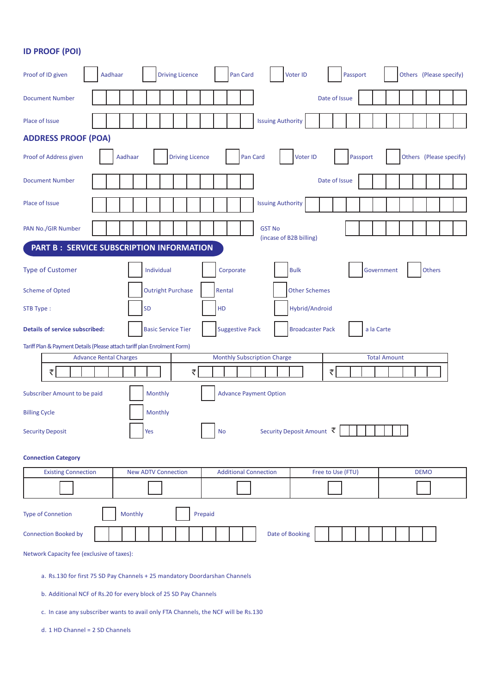# **ID PROOF (POI)**

| Proof of ID given                                                          | Aadhaar                       | <b>Driving Licence</b>     |                        | Pan Card                           | Voter ID                  | Passport          | Others (Please specify) |
|----------------------------------------------------------------------------|-------------------------------|----------------------------|------------------------|------------------------------------|---------------------------|-------------------|-------------------------|
| <b>Document Number</b>                                                     |                               |                            |                        |                                    |                           | Date of Issue     |                         |
| Place of Issue                                                             |                               |                            |                        |                                    | <b>Issuing Authority</b>  |                   |                         |
| <b>ADDRESS PROOF (POA)</b>                                                 |                               |                            |                        |                                    |                           |                   |                         |
| Proof of Address given                                                     | Aadhaar                       |                            | <b>Driving Licence</b> | Pan Card                           | Voter ID                  | Passport          | Others (Please specify) |
| <b>Document Number</b>                                                     |                               |                            |                        |                                    |                           | Date of Issue     |                         |
| Place of Issue                                                             |                               |                            |                        |                                    | <b>Issuing Authority</b>  |                   |                         |
| PAN No./GIR Number                                                         |                               |                            |                        | <b>GST No</b>                      | (incase of B2B billing)   |                   |                         |
| PART B: SERVICE SUBSCRIPTION INFORMATION                                   |                               |                            |                        |                                    |                           |                   |                         |
| <b>Type of Customer</b>                                                    |                               | Individual                 | Corporate              |                                    | <b>Bulk</b>               |                   | Others<br>Government    |
| <b>Scheme of Opted</b>                                                     |                               | <b>Outright Purchase</b>   | Rental                 |                                    | <b>Other Schemes</b>      |                   |                         |
| STB Type:                                                                  |                               | <b>SD</b>                  | HD                     |                                    | Hybrid/Android            |                   |                         |
| <b>Details of service subscribed:</b>                                      |                               | <b>Basic Service Tier</b>  |                        | <b>Suggestive Pack</b>             | <b>Broadcaster Pack</b>   | a la Carte        |                         |
| Tariff Plan & Payment Details (Please attach tariff plan Enrolment Form)   |                               |                            |                        |                                    |                           |                   |                         |
|                                                                            | <b>Advance Rental Charges</b> |                            |                        | <b>Monthly Subscription Charge</b> |                           |                   | <b>Total Amount</b>     |
| ₹                                                                          |                               |                            | ₹                      |                                    |                           | ₹                 |                         |
| Subscriber Amount to be paid                                               |                               | Monthly                    |                        | <b>Advance Payment Option</b>      |                           |                   |                         |
| <b>Billing Cycle</b>                                                       |                               | Monthly                    |                        |                                    |                           |                   |                         |
| <b>Security Deposit</b>                                                    |                               | Yes                        | <b>No</b>              |                                    | Security Deposit Amount そ |                   |                         |
| <b>Connection Category</b>                                                 |                               |                            |                        |                                    |                           |                   |                         |
| <b>Existing Connection</b>                                                 |                               | <b>New ADTV Connection</b> |                        | <b>Additional Connection</b>       |                           | Free to Use (FTU) | <b>DEMO</b>             |
|                                                                            |                               |                            |                        |                                    |                           |                   |                         |
| <b>Type of Connetion</b>                                                   | Monthly                       |                            | Prepaid                |                                    |                           |                   |                         |
| <b>Connection Booked by</b>                                                |                               |                            |                        |                                    | Date of Booking           |                   |                         |
| Network Capacity fee (exclusive of taxes):                                 |                               |                            |                        |                                    |                           |                   |                         |
| a. Rs.130 for first 75 SD Pay Channels + 25 mandatory Doordarshan Channels |                               |                            |                        |                                    |                           |                   |                         |
| b. Additional NCF of Rs.20 for every block of 25 SD Pay Channels           |                               |                            |                        |                                    |                           |                   |                         |

c. In case any subscriber wants to avail only FTA Channels, the NCF will be Rs.130

d. 1 HD Channel = 2 SD Channels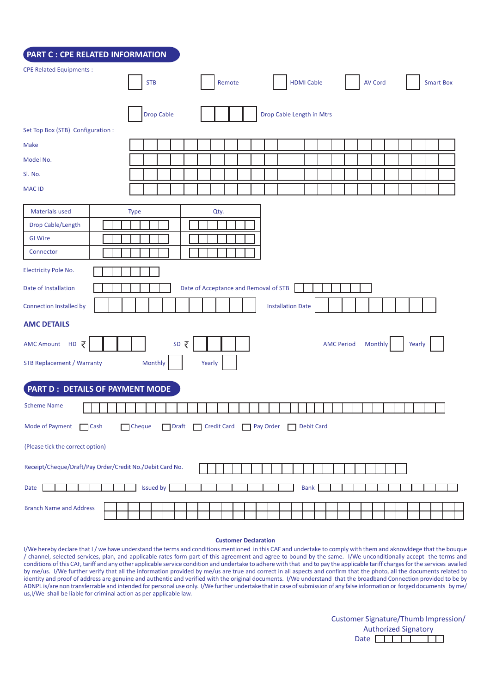| PART C : CPE RELATED INFORMATION                         |                               |        |                                       |                           |                              |                  |
|----------------------------------------------------------|-------------------------------|--------|---------------------------------------|---------------------------|------------------------------|------------------|
| <b>CPE Related Equipments:</b>                           | <b>STB</b>                    |        | Remote                                | <b>HDMI Cable</b>         | AV Cord                      | <b>Smart Box</b> |
|                                                          | <b>Drop Cable</b>             |        |                                       | Drop Cable Length in Mtrs |                              |                  |
| Set Top Box (STB) Configuration:                         |                               |        |                                       |                           |                              |                  |
| Make                                                     |                               |        |                                       |                           |                              |                  |
| Model No.                                                |                               |        |                                       |                           |                              |                  |
| SI. No.                                                  |                               |        |                                       |                           |                              |                  |
| <b>MAC ID</b>                                            |                               |        |                                       |                           |                              |                  |
| <b>Materials used</b>                                    | <b>Type</b>                   | Qty.   |                                       |                           |                              |                  |
| Drop Cable/Length                                        |                               |        |                                       |                           |                              |                  |
| <b>GI Wire</b>                                           |                               |        |                                       |                           |                              |                  |
| Connector                                                |                               |        |                                       |                           |                              |                  |
| Electricity Pole No.                                     |                               |        |                                       |                           |                              |                  |
| Date of Installation                                     |                               |        | Date of Acceptance and Removal of STB |                           |                              |                  |
| Connection Installed by                                  |                               |        |                                       | <b>Installation Date</b>  |                              |                  |
| <b>AMC DETAILS</b>                                       |                               |        |                                       |                           |                              |                  |
| AMC Amount HD<br>₹                                       |                               | sp ₹   |                                       |                           | <b>AMC Period</b><br>Monthly | Yearly           |
| <b>STB Replacement / Warranty</b>                        | Monthly                       | Yearly |                                       |                           |                              |                  |
| PART D : DETAILS OF PAYMENT MODE                         |                               |        |                                       |                           |                              |                  |
| <b>Scheme Name</b>                                       |                               |        |                                       |                           |                              |                  |
| Mode of Payment<br>$\Box$ Cash                           | $\Box$ Draft<br>$\Box$ Cheque |        | Credit Card Pay Order                 | Debit Card                |                              |                  |
| (Please tick the correct option)                         |                               |        |                                       |                           |                              |                  |
| Receipt/Cheque/Draft/Pay Order/Credit No./Debit Card No. |                               |        |                                       |                           |                              |                  |
| Date                                                     | Issued by                     |        |                                       | <b>Bank</b>               |                              |                  |
| <b>Branch Name and Address</b>                           |                               |        |                                       |                           |                              |                  |

#### **Customer Declaration**

I/We hereby declare that I / we have understand the terms and conditions mentioned in this CAF and undertake to comply with them and aknowldege that the bouque / channel, selected services, plan, and applicable rates form part of this agreement and agree to bound by the same. I/We unconditionally accept the terms and conditions of this CAF, tariff and any other applicable service condition and undertake to adhere with that and to pay the applicable tariff charges for the services availed by me/us. I/We further verify that all the information provided by me/us are true and correct in all aspects and confirm that the photo, all the documents related to identity and proof of address are genuine and authentic and verified with the original documents. I/We understand that the broadband Connection provided to be by ADNPL is/are non transferrable and intended for personal use only. I/We further undertake that in case of submission of any false information or forged documents by me/ us,I/We shall be liable for criminal action as per applicable law.

> Customer Signature/Thumb Impression/ Authorized Signatory Date **IIII** III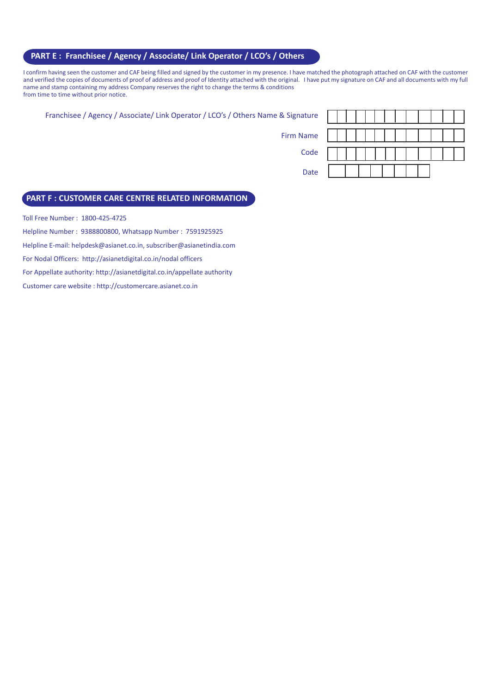## **PART E : Franchisee / Agency / Associate/ Link Operator / LCO's / Others**

I confirm having seen the customer and CAF being filled and signed by the customer in my presence. I have matched the photograph attached on CAF with the customer and verified the copies of documents of proof of address and proof of Identity attached with the original. I have put my signature on CAF and all documents with my full name and stamp containing my address Company reserves the right to change the terms & conditions from time to time without prior notice.

| Firm Name   |
|-------------|
| Code        |
| <b>Date</b> |

### **PART F : CUSTOMER CARE CENTRE RELATED INFORMATION**

Toll Free Number : 1800-425-4725

Helpline Number : 9388800800, Whatsapp Number : 7591925925

Helpline E-mail: helpdesk@asianet.co.in, subscriber@asianetindia.com

For Nodal Officers: http://asianetdigital.co.in/nodal officers

For Appellate authority: http://asianetdigital.co.in/appellate authority

Customer care website : http://customercare.asianet.co.in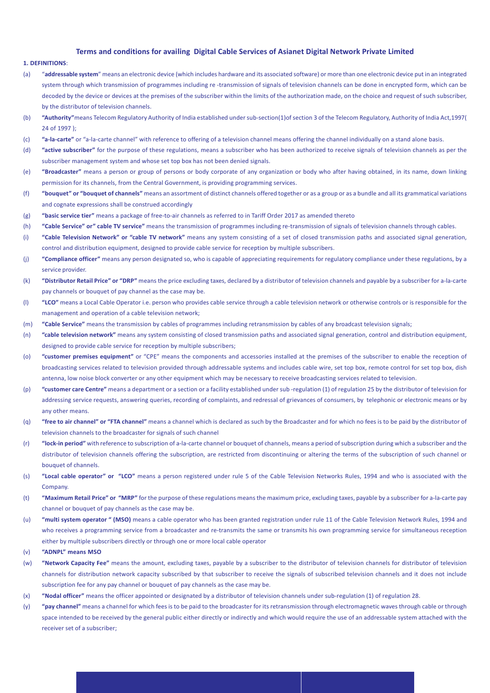### **Terms and conditions for availing Digital Cable Services of Asianet Digital Network Private Limited**

#### **1. DEFINITIONS**:

- (a) "**addressable system**" means an electronic device (which includes hardware and its associated software) or more than one electronic device put in an integrated system through which transmission of programmes including re -transmission of signals of television channels can be done in encrypted form, which can be decoded by the device or devices at the premises of the subscriber within the limits of the authorization made, on the choice and request of such subscriber, by the distributor of television channels.
- (b) **"Authority"**means Telecom Regulatory Authority of India established under sub-section(1)of section 3 of the Telecom Regulatory, Authority of India Act,1997( 24 of 1997 );
- (c) **"a-la-carte"** or "a-la-carte channel" with reference to offering of a television channel means offering the channel individually on a stand alone basis.
- (d) **"active subscriber"** for the purpose of these regulations, means a subscriber who has been authorized to receive signals of television channels as per the subscriber management system and whose set top box has not been denied signals.
- (e) **"Broadcaster"** means a person or group of persons or body corporate of any organization or body who after having obtained, in its name, down linking permission for its channels, from the Central Government, is providing programming services.
- (f) **"bouquet" or "bouquet of channels"** means an assortment of distinct channels offered together or as a group or as a bundle and all its grammatical variations and cognate expressions shall be construed accordingly
- (g) **"basic service tier"** means a package of free-to-air channels as referred to in Tariff Order 2017 as amended thereto
- (h) **"Cable Service" or" cable TV service"** means the transmission of programmes including re-transmission of signals of television channels through cables.
- (i) **"Cable Television Network" or "cable TV network"** means any system consisting of a set of closed transmission paths and associated signal generation, control and distribution equipment, designed to provide cable service for reception by multiple subscribers.
- (j) **"Compliance officer"** means any person designated so, who is capable of appreciating requirements for regulatory compliance under these regulations, by a service provider.
- (k) **"Distributor Retail Price" or "DRP"** means the price excluding taxes, declared by a distributor of television channels and payable by a subscriber for a-la-carte pay channels or bouquet of pay channel as the case may be.
- (l) **"LCO"** means a Local Cable Operator i.e. person who provides cable service through a cable television network or otherwise controls or is responsible for the management and operation of a cable television network;
- (m) **"Cable Service"** means the transmission by cables of programmes including retransmission by cables of any broadcast television signals;
- (n) **"cable television network"** means any system consisting of closed transmission paths and associated signal generation, control and distribution equipment, designed to provide cable service for reception by multiple subscribers;
- (o) **"customer premises equipment"** or "CPE" means the components and accessories installed at the premises of the subscriber to enable the reception of broadcasting services related to television provided through addressable systems and includes cable wire, set top box, remote control for set top box, dish antenna, low noise block converter or any other equipment which may be necessary to receive broadcasting services related to television.
- (p) **"customer care Centre"** means a department or a section or a facility established under sub -regulation (1) of regulation 25 by the distributor of television for addressing service requests, answering queries, recording of complaints, and redressal of grievances of consumers, by telephonic or electronic means or by any other means.
- (q) **"free to air channel" or "FTA channel"** means a channel which is declared as such by the Broadcaster and for which no fees is to be paid by the distributor of television channels to the broadcaster for signals of such channel
- (r) **"lock-in period"** with reference to subscription of a-la-carte channel or bouquet of channels, means a period of subscription during which a subscriber and the distributor of television channels offering the subscription, are restricted from discontinuing or altering the terms of the subscription of such channel or bouquet of channels.
- (s) **"Local cable operator" or "LCO"** means a person registered under rule 5 of the Cable Television Networks Rules, 1994 and who is associated with the Company.
- (t) **"Maximum Retail Price" or "MRP"** for the purpose of these regulations means the maximum price, excluding taxes, payable by a subscriber for a-la-carte pay channel or bouquet of pay channels as the case may be.
- (u) **"multi system operator " (MSO)** means a cable operator who has been granted registration under rule 11 of the Cable Television Network Rules, 1994 and who receives a programming service from a broadcaster and re-transmits the same or transmits his own programming service for simultaneous reception either by multiple subscribers directly or through one or more local cable operator
- (v) **"ADNPL" means MSO**
- (w) **"Network Capacity Fee"** means the amount, excluding taxes, payable by a subscriber to the distributor of television channels for distributor of television channels for distribution network capacity subscribed by that subscriber to receive the signals of subscribed television channels and it does not include subscription fee for any pay channel or bouquet of pay channels as the case may be.
- (x) **"Nodal officer"** means the officer appointed or designated by a distributor of television channels under sub-regulation (1) of regulation 28.
- (y) **"pay channel"** means a channel for which fees is to be paid to the broadcaster for its retransmission through electromagnetic waves through cable or through space intended to be received by the general public either directly or indirectly and which would require the use of an addressable system attached with the receiver set of a subscriber;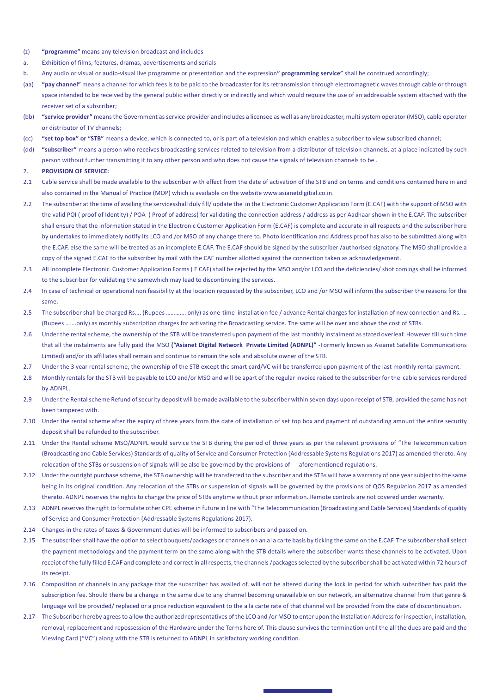- (z) **"programme"** means any television broadcast and includes -
- a. Exhibition of films, features, dramas, advertisements and serials
- b. Any audio or visual or audio-visual live programme or presentation and the expression**" programming service"** shall be construed accordingly;
- (aa) "pay channel" means a channel for which fees is to be paid to the broadcaster for its retransmission through electromagnetic waves through cable or through space intended to be received by the general public either directly or indirectly and which would require the use of an addressable system attached with the receiver set of a subscriber;
- (bb) **"service provider"** means the Government as service provider and includes a licensee as well as any broadcaster, multi system operator (MSO), cable operator or distributor of TV channels;
- (cc) **"set top box" or "STB"** means a device, which is connected to, or is part of a television and which enables a subscriber to view subscribed channel;
- (dd) **"subscriber"** means a person who receives broadcasting services related to television from a distributor of television channels, at a place indicated by such person without further transmitting it to any other person and who does not cause the signals of television channels to be .

#### 2. **PROVISION OF SERVICE:**

- 2.1 Cable service shall be made available to the subscriber with effect from the date of activation of the STB and on terms and conditions contained here in and also contained in the Manual of Practice (MOP) which is available on the website www.asianetdigitial.co.in.
- 2.2 The subscriber at the time of availing the servicesshall duly fill/ update the in the Electronic Customer Application Form (E.CAF) with the support of MSO with the valid POI ( proof of Identity) / POA ( Proof of address) for validating the connection address / address as per Aadhaar shown in the E.CAF. The subscriber shall ensure that the information stated in the Electronic Customer Application Form (E.CAF) is complete and accurate in all respects and the subscriber here by undertakes to immediately notify its LCO and /or MSO of any change there to. Photo identification and Address proof has also to be submitted along with the E.CAF, else the same will be treated as an incomplete E.CAF. The E.CAF should be signed by the subscriber /authorised signatory. The MSO shall provide a copy of the signed E.CAF to the subscriber by mail with the CAF number allotted against the connection taken as acknowledgement.
- 2.3 All incomplete Electronic Customer Application Forms ( E CAF) shall be rejected by the MSO and/or LCO and the deficiencies/ shot comings shall be informed to the subscriber for validating the samewhich may lead to discontinuing the services.
- 2.4 In case of technical or operational non feasibility at the location requested by the subscriber, LCO and /or MSO will inform the subscriber the reasons for the same.
- 2.5 The subscriber shall be charged Rs…. (Rupees …………. only) as one-time installation fee / advance Rental charges for installation of new connection and Rs. … (Rupees …….only) as monthly subscription charges for activating the Broadcasting service. The same will be over and above the cost of STBs.
- 2.6 Under the rental scheme, the ownership of the STB will be transferred upon payment of the last monthly instalment as stated overleaf. However till such time that all the instalments are fully paid the MSO **("Asianet Digital Network Private Limited (ADNPL)"** -Formerly known as Asianet Satellite Communications Limited) and/or its affiliates shall remain and continue to remain the sole and absolute owner of the STB.
- 2.7 Under the 3 year rental scheme, the ownership of the STB except the smart card/VC will be transferred upon payment of the last monthly rental payment.
- 2.8 Monthly rentals for the STB will be payable to LCO and/or MSO and will be apart of the regular invoice raised to the subscriber for the cable services rendered by ADNPL.
- 2.9 Under the Rental scheme Refund of security deposit will be made available to the subscriber within seven days upon receipt of STB, provided the same has not been tampered with.
- 2.10 Under the rental scheme after the expiry of three years from the date of installation of set top box and payment of outstanding amount the entire security deposit shall be refunded to the subscriber.
- 2.11 Under the Rental scheme MSO/ADNPL would service the STB during the period of three years as per the relevant provisions of "The Telecommunication (Broadcasting and Cable Services) Standards of quality of Service and Consumer Protection (Addressable Systems Regulations 2017) as amended thereto. Any relocation of the STBs or suspension of signals will be also be governed by the provisions of aforementioned regulations.
- 2.12 Under the outright purchase scheme, the STB ownership will be transferred to the subscriber and the STBs will have a warranty of one year subject to the same being in its original condition. Any relocation of the STBs or suspension of signals will be governed by the provisions of QOS Regulation 2017 as amended thereto. ADNPL reserves the rights to change the price of STBs anytime without prior information. Remote controls are not covered under warranty.
- 2.13 ADNPL reserves the right to formulate other CPE scheme in future in line with "The Telecommunication (Broadcasting and Cable Services) Standards of quality of Service and Consumer Protection (Addressable Systems Regulations 2017).
- 2.14 Changes in the rates of taxes & Government duties will be informed to subscribers and passed on.
- 2.15 The subscriber shall have the option to select bouquets/packages or channels on an a la carte basis by ticking the same on the E.CAF. The subscriber shall select the payment methodology and the payment term on the same along with the STB details where the subscriber wants these channels to be activated. Upon receipt of the fully filled E.CAF and complete and correct in all respects, the channels /packages selected by the subscriber shall be activated within 72 hours of its receipt.
- 2.16 Composition of channels in any package that the subscriber has availed of, will not be altered during the lock in period for which subscriber has paid the subscription fee. Should there be a change in the same due to any channel becoming unavailable on our network, an alternative channel from that genre & language will be provided/ replaced or a price reduction equivalent to the a la carte rate of that channel will be provided from the date of discontinuation.
- 2.17 The Subscriber hereby agrees to allow the authorized representatives of the LCO and /or MSO to enter upon the Installation Address for inspection, installation, removal, replacement and repossession of the Hardware under the Terms here of. This clause survives the termination until the all the dues are paid and the Viewing Card ("VC") along with the STB is returned to ADNPL in satisfactory working condition.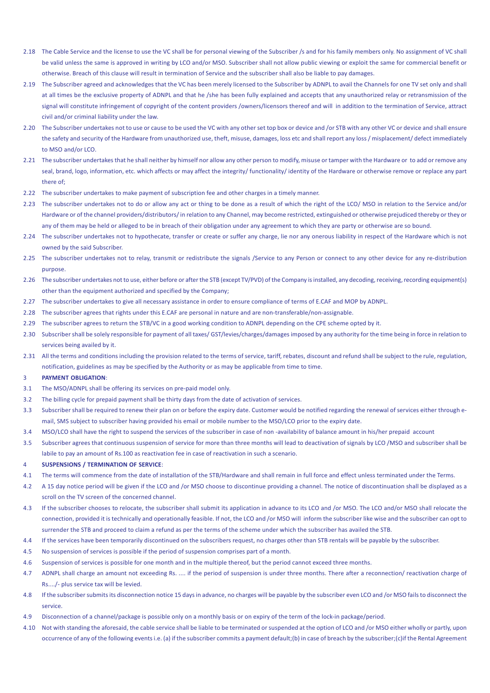- 2.18 The Cable Service and the license to use the VC shall be for personal viewing of the Subscriber /s and for his family members only. No assignment of VC shall be valid unless the same is approved in writing by LCO and/or MSO. Subscriber shall not allow public viewing or exploit the same for commercial benefit or otherwise. Breach of this clause will result in termination of Service and the subscriber shall also be liable to pay damages.
- 2.19 The Subscriber agreed and acknowledges that the VC has been merely licensed to the Subscriber by ADNPL to avail the Channels for one TV set only and shall at all times be the exclusive property of ADNPL and that he /she has been fully explained and accepts that any unauthorized relay or retransmission of the signal will constitute infringement of copyright of the content providers /owners/licensors thereof and will in addition to the termination of Service, attract civil and/or criminal liability under the law.
- 2.20 The Subscriber undertakes not to use or cause to be used the VC with any other set top box or device and /or STB with any other VC or device and shall ensure the safety and security of the Hardware from unauthorized use, theft, misuse, damages, loss etc and shall report any loss / misplacement/ defect immediately to MSO and/or LCO.
- 2.21 The subscriber undertakes that he shall neither by himself nor allow any other person to modify, misuse or tamper with the Hardware or to add or remove any seal, brand, logo, information, etc. which affects or may affect the integrity/ functionality/ identity of the Hardware or otherwise remove or replace any part there of;
- 2.22 The subscriber undertakes to make payment of subscription fee and other charges in a timely manner.
- 2.23 The subscriber undertakes not to do or allow any act or thing to be done as a result of which the right of the LCO/ MSO in relation to the Service and/or Hardware or of the channel providers/distributors/ in relation to any Channel, may become restricted, extinguished or otherwise prejudiced thereby or they or any of them may be held or alleged to be in breach of their obligation under any agreement to which they are party or otherwise are so bound.
- 2.24 The subscriber undertakes not to hypothecate, transfer or create or suffer any charge, lie nor any onerous liability in respect of the Hardware which is not owned by the said Subscriber.
- 2.25 The subscriber undertakes not to relay, transmit or redistribute the signals /Service to any Person or connect to any other device for any re-distribution purpose.
- 2.26 The subscriber undertakes not to use, either before or after the STB (except TV/PVD) of the Company is installed, any decoding, receiving, recording equipment(s) other than the equipment authorized and specified by the Company;
- 2.27 The subscriber undertakes to give all necessary assistance in order to ensure compliance of terms of E.CAF and MOP by ADNPL.
- 2.28 The subscriber agrees that rights under this E.CAF are personal in nature and are non-transferable/non-assignable.
- 2.29 The subscriber agrees to return the STB/VC in a good working condition to ADNPL depending on the CPE scheme opted by it.
- 2.30 Subscriber shall be solely responsible for payment of all taxes/ GST/levies/charges/damages imposed by any authority for the time being in force in relation to services being availed by it.
- 2.31 All the terms and conditions including the provision related to the terms of service, tariff, rebates, discount and refund shall be subject to the rule, regulation, notification, guidelines as may be specified by the Authority or as may be applicable from time to time.

#### 3 **PAYMENT OBLIGATION**:

- 3.1 The MSO/ADNPL shall be offering its services on pre-paid model only.
- 3.2 The billing cycle for prepaid payment shall be thirty days from the date of activation of services.
- 3.3 Subscriber shall be required to renew their plan on or before the expiry date. Customer would be notified regarding the renewal of services either through email, SMS subject to subscriber having provided his email or mobile number to the MSO/LCO prior to the expiry date.
- 3.4 MSO/LCO shall have the right to suspend the services of the subscriber in case of non -availability of balance amount in his/her prepaid account
- 3.5 Subscriber agrees that continuous suspension of service for more than three months will lead to deactivation of signals by LCO /MSO and subscriber shall be labile to pay an amount of Rs.100 as reactivation fee in case of reactivation in such a scenario.

#### 4 **SUSPENSIONS / TERMINATION OF SERVICE**:

- 4.1 The terms will commence from the date of installation of the STB/Hardware and shall remain in full force and effect unless terminated under the Terms.
- 4.2 A 15 day notice period will be given if the LCO and /or MSO choose to discontinue providing a channel. The notice of discontinuation shall be displayed as a scroll on the TV screen of the concerned channel.
- 4.3 If the subscriber chooses to relocate, the subscriber shall submit its application in advance to its LCO and /or MSO. The LCO and/or MSO shall relocate the connection, provided it is technically and operationally feasible. If not, the LCO and /or MSO will inform the subscriber like wise and the subscriber can opt to surrender the STB and proceed to claim a refund as per the terms of the scheme under which the subscriber has availed the STB.
- 4.4 If the services have been temporarily discontinued on the subscribers request, no charges other than STB rentals will be payable by the subscriber.
- 4.5 No suspension of services is possible if the period of suspension comprises part of a month.
- 4.6 Suspension of services is possible for one month and in the multiple thereof, but the period cannot exceed three months.
- 4.7 ADNPL shall charge an amount not exceeding Rs. .... if the period of suspension is under three months. There after a reconnection/ reactivation charge of Rs..../- plus service tax will be levied.
- 4.8 If the subscriber submits its disconnection notice 15 days in advance, no charges will be payable by the subscriber even LCO and /or MSO fails to disconnect the service.
- 4.9 Disconnection of a channel/package is possible only on a monthly basis or on expiry of the term of the lock-in package/period.
- 4.10 Not with standing the aforesaid, the cable service shall be liable to be terminated or suspended at the option of LCO and /or MSO either wholly or partly, upon occurrence of any of the following events i.e. (a) if the subscriber commits a payment default;(b) in case of breach by the subscriber;(c)if the Rental Agreement